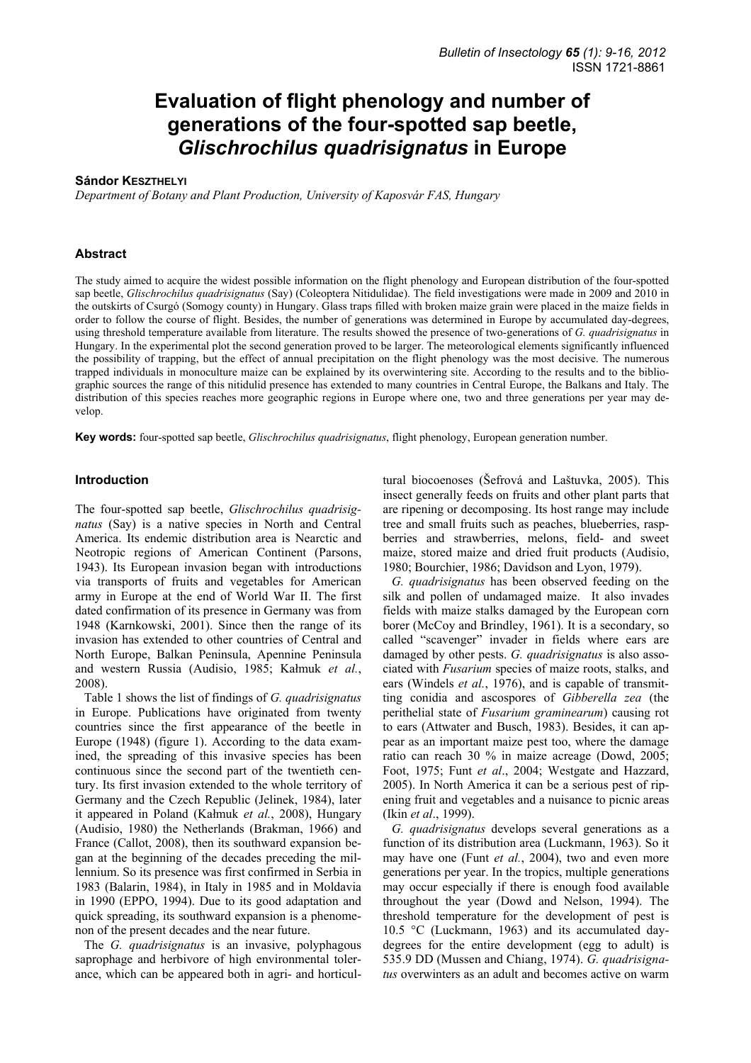# **Evaluation of flight phenology and number of generations of the four-spotted sap beetle,**  *Glischrochilus quadrisignatus* **in Europe**

## **Sándor KESZTHELYI**

*Department of Botany and Plant Production, University of Kaposvár FAS, Hungary* 

### **Abstract**

The study aimed to acquire the widest possible information on the flight phenology and European distribution of the four-spotted sap beetle, *Glischrochilus quadrisignatus* (Say) (Coleoptera Nitidulidae). The field investigations were made in 2009 and 2010 in the outskirts of Csurgó (Somogy county) in Hungary. Glass traps filled with broken maize grain were placed in the maize fields in order to follow the course of flight. Besides, the number of generations was determined in Europe by accumulated day-degrees, using threshold temperature available from literature. The results showed the presence of two-generations of *G. quadrisignatus* in Hungary. In the experimental plot the second generation proved to be larger. The meteorological elements significantly influenced the possibility of trapping, but the effect of annual precipitation on the flight phenology was the most decisive. The numerous trapped individuals in monoculture maize can be explained by its overwintering site. According to the results and to the bibliographic sources the range of this nitidulid presence has extended to many countries in Central Europe, the Balkans and Italy. The distribution of this species reaches more geographic regions in Europe where one, two and three generations per year may develop.

**Key words:** four-spotted sap beetle, *Glischrochilus quadrisignatus*, flight phenology, European generation number.

#### **Introduction**

The four-spotted sap beetle, *Glischrochilus quadrisignatus* (Say) is a native species in North and Central America. Its endemic distribution area is Nearctic and Neotropic regions of American Continent (Parsons, 1943). Its European invasion began with introductions via transports of fruits and vegetables for American army in Europe at the end of World War II. The first dated confirmation of its presence in Germany was from 1948 (Karnkowski, 2001). Since then the range of its invasion has extended to other countries of Central and North Europe, Balkan Peninsula, Apennine Peninsula and western Russia (Audisio, 1985; Kałmuk *et al.*, 2008).

Table 1 shows the list of findings of *G. quadrisignatus* in Europe. Publications have originated from twenty countries since the first appearance of the beetle in Europe (1948) (figure 1). According to the data examined, the spreading of this invasive species has been continuous since the second part of the twentieth century. Its first invasion extended to the whole territory of Germany and the Czech Republic (Jelinek, 1984), later it appeared in Poland (Kałmuk *et al.*, 2008), Hungary (Audisio, 1980) the Netherlands (Brakman, 1966) and France (Callot, 2008), then its southward expansion began at the beginning of the decades preceding the millennium. So its presence was first confirmed in Serbia in 1983 (Balarin, 1984), in Italy in 1985 and in Moldavia in 1990 (EPPO, 1994). Due to its good adaptation and quick spreading, its southward expansion is a phenomenon of the present decades and the near future.

The *G. quadrisignatus* is an invasive, polyphagous saprophage and herbivore of high environmental tolerance, which can be appeared both in agri- and horticultural biocoenoses (Šefrová and Laštuvka, 2005). This insect generally feeds on fruits and other plant parts that are ripening or decomposing. Its host range may include tree and small fruits such as peaches, blueberries, raspberries and strawberries, melons, field- and sweet maize, stored maize and dried fruit products (Audisio, 1980; Bourchier, 1986; Davidson and Lyon, 1979).

*G. quadrisignatus* has been observed feeding on the silk and pollen of undamaged maize. It also invades fields with maize stalks damaged by the European corn borer (McCoy and Brindley, 1961). It is a secondary, so called "scavenger" invader in fields where ears are damaged by other pests. *G. quadrisignatus* is also associated with *Fusarium* species of maize roots, stalks, and ears (Windels *et al.*, 1976), and is capable of transmitting conidia and ascospores of *Gibberella zea* (the perithelial state of *Fusarium graminearum*) causing rot to ears (Attwater and Busch, 1983). Besides, it can appear as an important maize pest too, where the damage ratio can reach 30 % in maize acreage (Dowd, 2005; Foot, 1975; Funt *et al*., 2004; Westgate and Hazzard, 2005). In North America it can be a serious pest of ripening fruit and vegetables and a nuisance to picnic areas (Ikin *et al*., 1999).

*G. quadrisignatus* develops several generations as a function of its distribution area (Luckmann, 1963). So it may have one (Funt *et al.*, 2004), two and even more generations per year. In the tropics, multiple generations may occur especially if there is enough food available throughout the year (Dowd and Nelson, 1994). The threshold temperature for the development of pest is 10.5 °C (Luckmann, 1963) and its accumulated daydegrees for the entire development (egg to adult) is 535.9 DD (Mussen and Chiang, 1974). *G. quadrisignatus* overwinters as an adult and becomes active on warm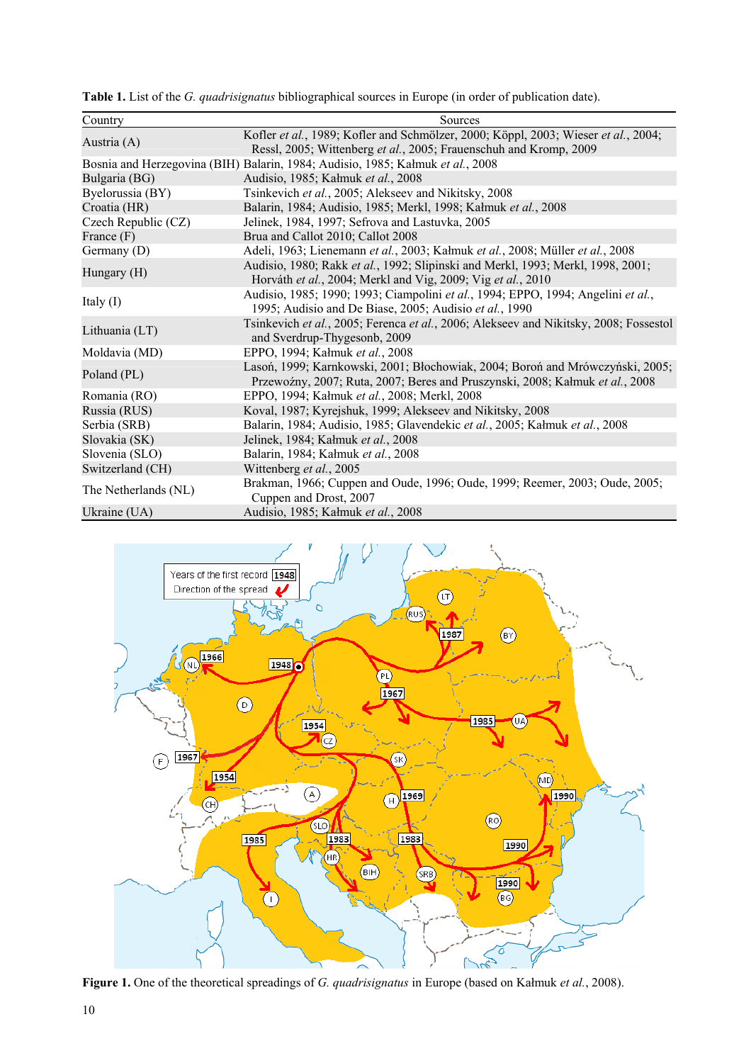**Table 1.** List of the *G. quadrisignatus* bibliographical sources in Europe (in order of publication date).

| Country              | Sources                                                                                                                                                       |
|----------------------|---------------------------------------------------------------------------------------------------------------------------------------------------------------|
| Austria (A)          | Kofler et al., 1989; Kofler and Schmölzer, 2000; Köppl, 2003; Wieser et al., 2004;<br>Ressl, 2005; Wittenberg et al., 2005; Frauenschuh and Kromp, 2009       |
|                      | Bosnia and Herzegovina (BIH) Balarin, 1984; Audisio, 1985; Kałmuk et al., 2008                                                                                |
| Bulgaria (BG)        | Audisio, 1985; Kałmuk et al., 2008                                                                                                                            |
| Byelorussia (BY)     | Tsinkevich et al., 2005; Alekseev and Nikitsky, 2008                                                                                                          |
| Croatia (HR)         | Balarin, 1984; Audisio, 1985; Merkl, 1998; Kałmuk et al., 2008                                                                                                |
| Czech Republic (CZ)  | Jelinek, 1984, 1997; Sefrova and Lastuvka, 2005                                                                                                               |
| France $(F)$         | Brua and Callot 2010; Callot 2008                                                                                                                             |
| Germany (D)          | Adeli, 1963; Lienemann et al., 2003; Kałmuk et al., 2008; Müller et al., 2008                                                                                 |
| Hungary (H)          | Audisio, 1980; Rakk et al., 1992; Slipinski and Merkl, 1993; Merkl, 1998, 2001;<br>Horváth et al., 2004; Merkl and Vig, 2009; Vig et al., 2010                |
| Italy $(I)$          | Audisio, 1985; 1990; 1993; Ciampolini et al., 1994; EPPO, 1994; Angelini et al.,<br>1995; Audisio and De Biase, 2005; Audisio et al., 1990                    |
| Lithuania (LT)       | Tsinkevich et al., 2005; Ferenca et al., 2006; Alekseev and Nikitsky, 2008; Fossestol<br>and Sverdrup-Thygesonb, 2009                                         |
| Moldavia (MD)        | EPPO, 1994; Kałmuk et al., 2008                                                                                                                               |
| Poland (PL)          | Lasoń, 1999; Karnkowski, 2001; Błochowiak, 2004; Boroń and Mrówczyński, 2005;<br>Przewoźny, 2007; Ruta, 2007; Beres and Pruszynski, 2008; Kałmuk et al., 2008 |
| Romania (RO)         | EPPO, 1994; Kałmuk et al., 2008; Merkl, 2008                                                                                                                  |
| Russia (RUS)         | Koval, 1987; Kyrejshuk, 1999; Alekseev and Nikitsky, 2008                                                                                                     |
| Serbia (SRB)         | Balarin, 1984; Audisio, 1985; Glavendekic et al., 2005; Kałmuk et al., 2008                                                                                   |
| Slovakia (SK)        | Jelinek, 1984; Kałmuk et al., 2008                                                                                                                            |
| Slovenia (SLO)       | Balarin, 1984; Kałmuk et al., 2008                                                                                                                            |
| Switzerland (CH)     | Wittenberg et al., 2005                                                                                                                                       |
| The Netherlands (NL) | Brakman, 1966; Cuppen and Oude, 1996; Oude, 1999; Reemer, 2003; Oude, 2005;<br>Cuppen and Drost, 2007                                                         |
| Ukraine (UA)         | Audisio, 1985; Kałmuk et al., 2008                                                                                                                            |



**Figure 1.** One of the theoretical spreadings of *G. quadrisignatus* in Europe (based on Kałmuk *et al.*, 2008).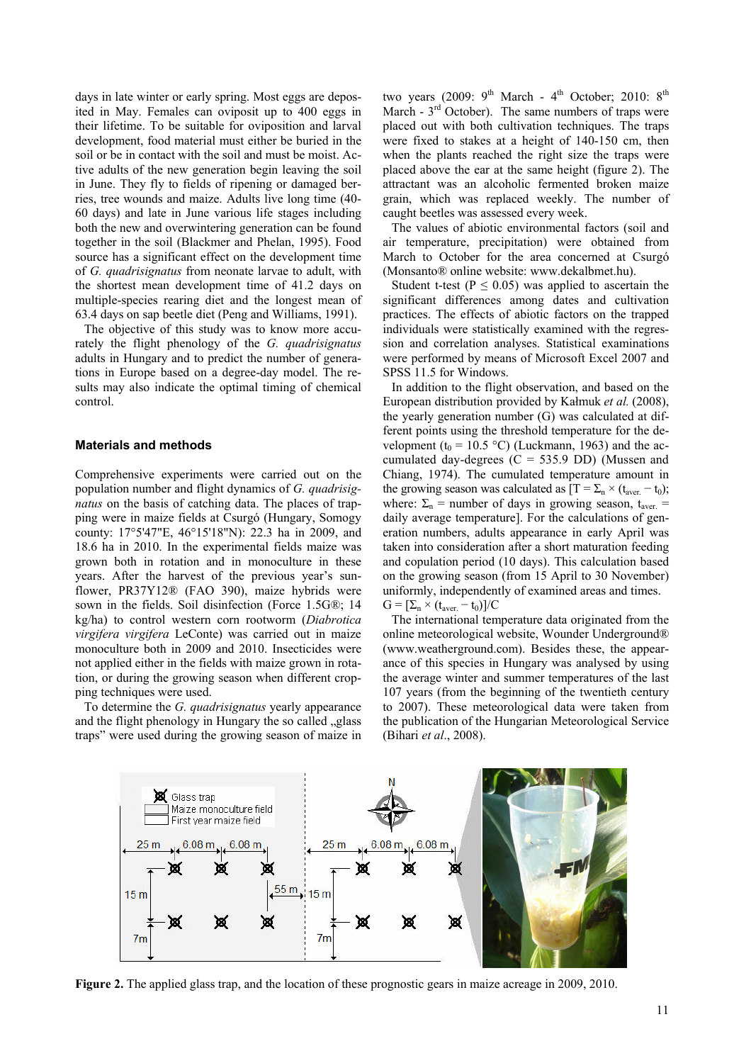days in late winter or early spring. Most eggs are deposited in May. Females can oviposit up to 400 eggs in their lifetime. To be suitable for oviposition and larval development, food material must either be buried in the soil or be in contact with the soil and must be moist. Active adults of the new generation begin leaving the soil in June. They fly to fields of ripening or damaged berries, tree wounds and maize. Adults live long time (40- 60 days) and late in June various life stages including both the new and overwintering generation can be found together in the soil (Blackmer and Phelan, 1995). Food source has a significant effect on the development time of *G. quadrisignatus* from neonate larvae to adult, with the shortest mean development time of 41.2 days on multiple-species rearing diet and the longest mean of 63.4 days on sap beetle diet (Peng and Williams, 1991).

The objective of this study was to know more accurately the flight phenology of the *G. quadrisignatus* adults in Hungary and to predict the number of generations in Europe based on a degree-day model. The results may also indicate the optimal timing of chemical control.

## **Materials and methods**

Comprehensive experiments were carried out on the population number and flight dynamics of *G. quadrisignatus* on the basis of catching data. The places of trapping were in maize fields at Csurgó (Hungary, Somogy county: 17°5'47"E, 46°15'18"N): 22.3 ha in 2009, and 18.6 ha in 2010. In the experimental fields maize was grown both in rotation and in monoculture in these years. After the harvest of the previous year's sunflower, PR37Y12® (FAO 390), maize hybrids were sown in the fields. Soil disinfection (Force 1.5G®; 14 kg/ha) to control western corn rootworm (*Diabrotica virgifera virgifera* LeConte) was carried out in maize monoculture both in 2009 and 2010. Insecticides were not applied either in the fields with maize grown in rotation, or during the growing season when different cropping techniques were used.

To determine the *G. quadrisignatus* yearly appearance and the flight phenology in Hungary the so called  $\alpha$  glass traps" were used during the growing season of maize in

two years (2009:  $9^{th}$  March -  $4^{th}$  October; 2010:  $8^{th}$ March -  $3<sup>rd</sup>$  October). The same numbers of traps were placed out with both cultivation techniques. The traps were fixed to stakes at a height of 140-150 cm, then when the plants reached the right size the traps were placed above the ear at the same height (figure 2). The attractant was an alcoholic fermented broken maize grain, which was replaced weekly. The number of caught beetles was assessed every week.

The values of abiotic environmental factors (soil and air temperature, precipitation) were obtained from March to October for the area concerned at Csurgó (Monsanto® online website: www.dekalbmet.hu).

Student t-test ( $P \le 0.05$ ) was applied to ascertain the significant differences among dates and cultivation practices. The effects of abiotic factors on the trapped individuals were statistically examined with the regression and correlation analyses. Statistical examinations were performed by means of Microsoft Excel 2007 and SPSS 11.5 for Windows.

In addition to the flight observation, and based on the European distribution provided by Kałmuk *et al.* (2008), the yearly generation number (G) was calculated at different points using the threshold temperature for the development ( $t_0$  = 10.5 °C) (Luckmann, 1963) and the accumulated day-degrees  $(C = 535.9 \text{ DD})$  (Mussen and Chiang, 1974). The cumulated temperature amount in the growing season was calculated as  $[T = \sum_{n} \times (t_{\text{aver.}} - t_{0});$ where:  $\Sigma_n$  = number of days in growing season,  $t_{\text{aver.}}$  = daily average temperature]. For the calculations of generation numbers, adults appearance in early April was taken into consideration after a short maturation feeding and copulation period (10 days). This calculation based on the growing season (from 15 April to 30 November) uniformly, independently of examined areas and times.  $G = [\Sigma_n \times (t_{\text{aver}} - t_0)]/C$ 

The international temperature data originated from the online meteorological website, Wounder Underground® (www.weatherground.com). Besides these, the appearance of this species in Hungary was analysed by using the average winter and summer temperatures of the last 107 years (from the beginning of the twentieth century to 2007). These meteorological data were taken from the publication of the Hungarian Meteorological Service (Bihari *et al*., 2008).



**Figure 2.** The applied glass trap, and the location of these prognostic gears in maize acreage in 2009, 2010.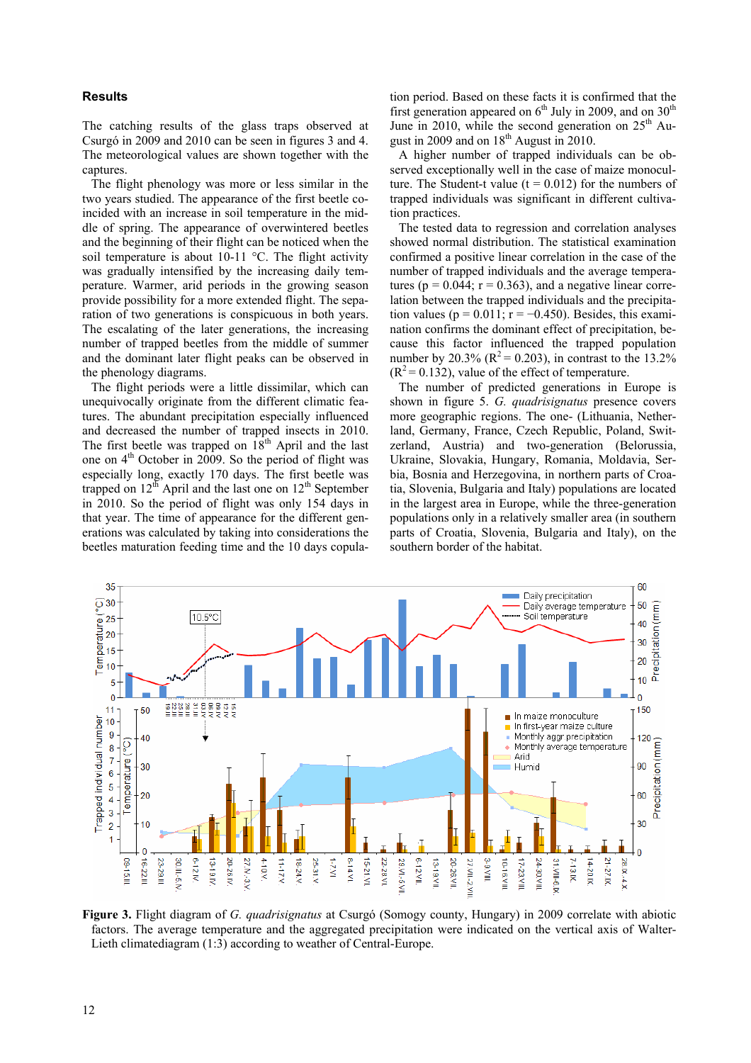# **Results**

The catching results of the glass traps observed at Csurgó in 2009 and 2010 can be seen in figures 3 and 4. The meteorological values are shown together with the captures.

The flight phenology was more or less similar in the two years studied. The appearance of the first beetle coincided with an increase in soil temperature in the middle of spring. The appearance of overwintered beetles and the beginning of their flight can be noticed when the soil temperature is about  $10-11$  °C. The flight activity was gradually intensified by the increasing daily temperature. Warmer, arid periods in the growing season provide possibility for a more extended flight. The separation of two generations is conspicuous in both years. The escalating of the later generations, the increasing number of trapped beetles from the middle of summer and the dominant later flight peaks can be observed in the phenology diagrams.

The flight periods were a little dissimilar, which can unequivocally originate from the different climatic features. The abundant precipitation especially influenced and decreased the number of trapped insects in 2010. The first beetle was trapped on  $18<sup>th</sup>$  April and the last one on  $4<sup>th</sup>$  October in 2009. So the period of flight was especially long, exactly 170 days. The first beetle was trapped on  $12^{th}$  April and the last one on  $12^{th}$  September in 2010. So the period of flight was only 154 days in that year. The time of appearance for the different generations was calculated by taking into considerations the beetles maturation feeding time and the 10 days copulation period. Based on these facts it is confirmed that the first generation appeared on  $6<sup>th</sup>$  July in 2009, and on 30<sup>th</sup> June in 2010, while the second generation on  $25<sup>th</sup>$  August in 2009 and on  $18<sup>th</sup>$  August in 2010.

A higher number of trapped individuals can be observed exceptionally well in the case of maize monoculture. The Student-t value  $(t = 0.012)$  for the numbers of trapped individuals was significant in different cultivation practices.

The tested data to regression and correlation analyses showed normal distribution. The statistical examination confirmed a positive linear correlation in the case of the number of trapped individuals and the average temperatures ( $p = 0.044$ ;  $r = 0.363$ ), and a negative linear correlation between the trapped individuals and the precipitation values ( $p = 0.011$ ;  $r = -0.450$ ). Besides, this examination confirms the dominant effect of precipitation, because this factor influenced the trapped population number by 20.3% ( $R^2 = 0.203$ ), in contrast to the 13.2%  $(R<sup>2</sup> = 0.132)$ , value of the effect of temperature.

The number of predicted generations in Europe is shown in figure 5. *G. quadrisignatus* presence covers more geographic regions. The one- (Lithuania, Netherland, Germany, France, Czech Republic, Poland, Switzerland, Austria) and two-generation (Belorussia, Ukraine, Slovakia, Hungary, Romania, Moldavia, Serbia, Bosnia and Herzegovina, in northern parts of Croatia, Slovenia, Bulgaria and Italy) populations are located in the largest area in Europe, while the three-generation populations only in a relatively smaller area (in southern parts of Croatia, Slovenia, Bulgaria and Italy), on the southern border of the habitat.



**Figure 3.** Flight diagram of *G. quadrisignatus* at Csurgó (Somogy county, Hungary) in 2009 correlate with abiotic factors. The average temperature and the aggregated precipitation were indicated on the vertical axis of Walter-Lieth climatediagram (1:3) according to weather of Central-Europe.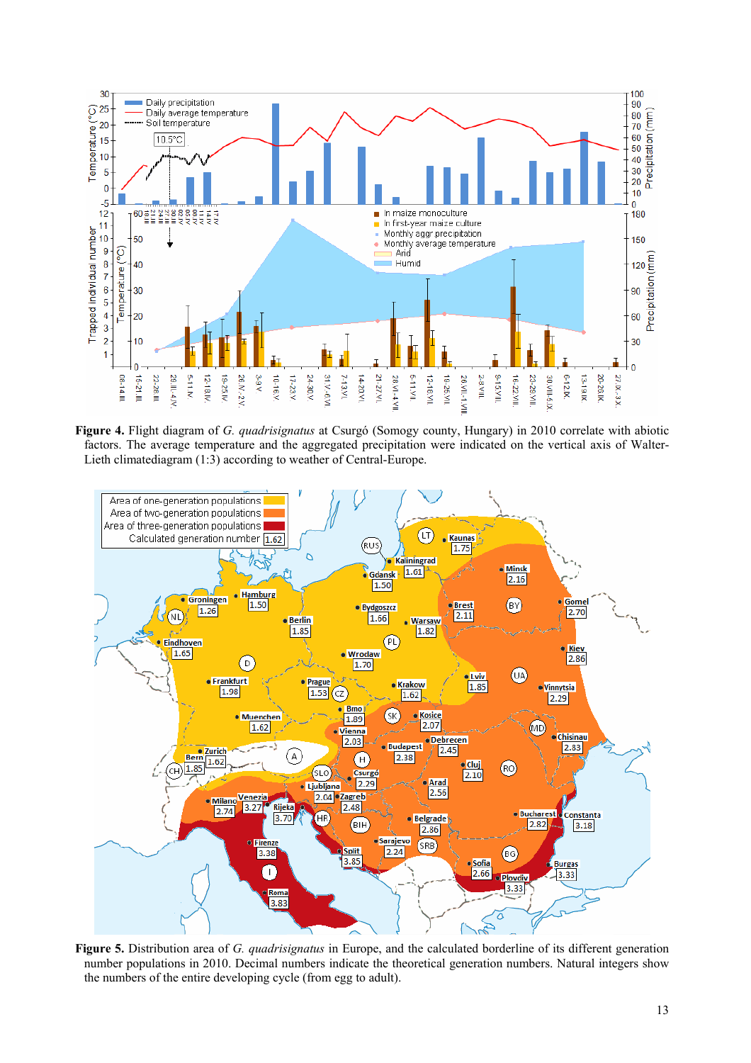

**Figure 4.** Flight diagram of *G. quadrisignatus* at Csurgó (Somogy county, Hungary) in 2010 correlate with abiotic factors. The average temperature and the aggregated precipitation were indicated on the vertical axis of Walter-Lieth climatediagram (1:3) according to weather of Central-Europe.



**Figure 5.** Distribution area of *G. quadrisignatus* in Europe, and the calculated borderline of its different generation number populations in 2010. Decimal numbers indicate the theoretical generation numbers. Natural integers show the numbers of the entire developing cycle (from egg to adult).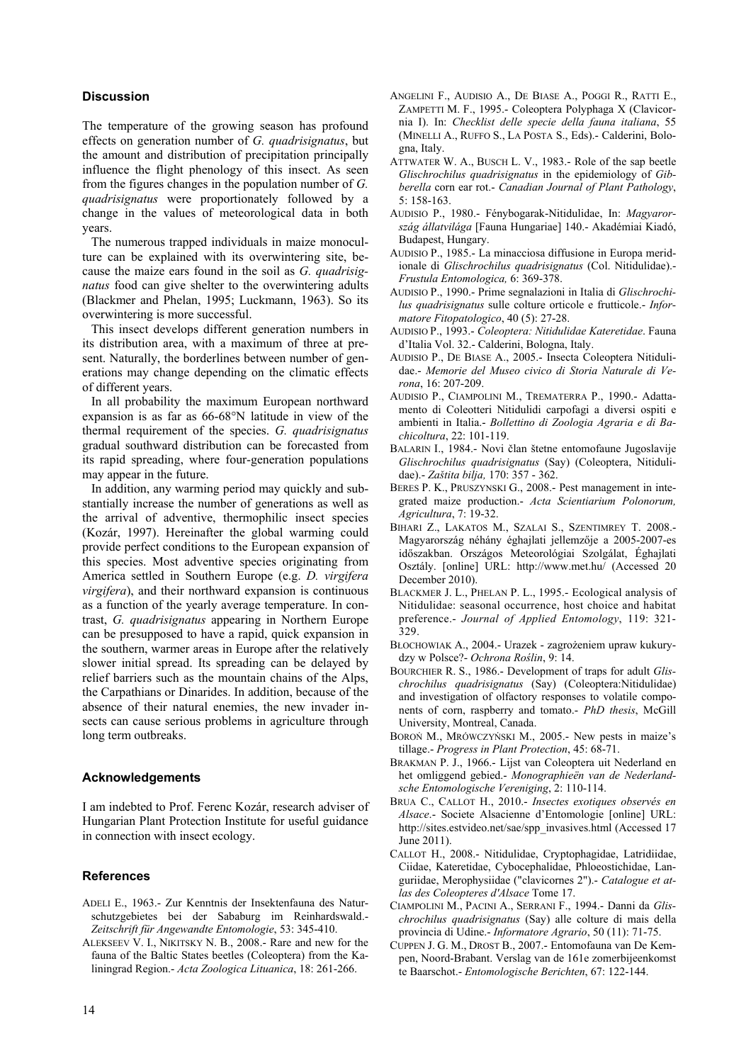# **Discussion**

The temperature of the growing season has profound effects on generation number of *G. quadrisignatus*, but the amount and distribution of precipitation principally influence the flight phenology of this insect. As seen from the figures changes in the population number of *G. quadrisignatus* were proportionately followed by a change in the values of meteorological data in both years.

The numerous trapped individuals in maize monoculture can be explained with its overwintering site, because the maize ears found in the soil as *G. quadrisignatus* food can give shelter to the overwintering adults (Blackmer and Phelan, 1995; Luckmann, 1963). So its overwintering is more successful.

This insect develops different generation numbers in its distribution area, with a maximum of three at present. Naturally, the borderlines between number of generations may change depending on the climatic effects of different years.

In all probability the maximum European northward expansion is as far as 66-68°N latitude in view of the thermal requirement of the species. *G. quadrisignatus* gradual southward distribution can be forecasted from its rapid spreading, where four-generation populations may appear in the future.

In addition, any warming period may quickly and substantially increase the number of generations as well as the arrival of adventive, thermophilic insect species (Kozár, 1997). Hereinafter the global warming could provide perfect conditions to the European expansion of this species. Most adventive species originating from America settled in Southern Europe (e.g. *D. virgifera virgifera*), and their northward expansion is continuous as a function of the yearly average temperature. In contrast, *G. quadrisignatus* appearing in Northern Europe can be presupposed to have a rapid, quick expansion in the southern, warmer areas in Europe after the relatively slower initial spread. Its spreading can be delayed by relief barriers such as the mountain chains of the Alps, the Carpathians or Dinarides. In addition, because of the absence of their natural enemies, the new invader insects can cause serious problems in agriculture through long term outbreaks.

#### **Acknowledgements**

I am indebted to Prof. Ferenc Kozár, research adviser of Hungarian Plant Protection Institute for useful guidance in connection with insect ecology.

## **References**

- ADELI E., 1963.- Zur Kenntnis der Insektenfauna des Naturschutzgebietes bei der Sababurg im Reinhardswald.- *Zeitschrift für Angewandte Entomologie*, 53: 345-410.
- ALEKSEEV V. I., NIKITSKY N. B., 2008.- Rare and new for the fauna of the Baltic States beetles (Coleoptera) from the Kaliningrad Region.- *Acta Zoologica Lituanica*, 18: 261-266.
- ANGELINI F., AUDISIO A., DE BIASE A., POGGI R., RATTI E., ZAMPETTI M. F., 1995.- Coleoptera Polyphaga X (Clavicornia I). In: *Checklist delle specie della fauna italiana*, 55 (MINELLI A., RUFFO S., LA POSTA S., Eds).- Calderini, Bologna, Italy.
- ATTWATER W. A., BUSCH L. V., 1983.- Role of the sap beetle *Glischrochilus quadrisignatus* in the epidemiology of *Gibberella* corn ear rot.- *Canadian Journal of Plant Pathology*, 5: 158-163.
- AUDISIO P., 1980.- Fénybogarak-Nitidulidae, In: *Magyarország állatvilága* [Fauna Hungariae] 140.- Akadémiai Kiadó, Budapest, Hungary.
- AUDISIO P., 1985.- La minacciosa diffusione in Europa meridionale di *Glischrochilus quadrisignatus* (Col. Nitidulidae).- *Frustula Entomologica,* 6: 369-378.
- AUDISIO P., 1990.- Prime segnalazioni in Italia di *Glischrochilus quadrisignatus* sulle colture orticole e frutticole.- *Informatore Fitopatologico*, 40 (5): 27-28.
- AUDISIO P., 1993.- *Coleoptera: Nitidulidae Kateretidae*. Fauna d'Italia Vol. 32.- Calderini, Bologna, Italy.
- AUDISIO P., DE BIASE A., 2005.- Insecta Coleoptera Nitidulidae.- *Memorie del Museo civico di Storia Naturale di Verona*, 16: 207-209.
- AUDISIO P., CIAMPOLINI M., TREMATERRA P., 1990.- Adattamento di Coleotteri Nitidulidi carpofagi a diversi ospiti e ambienti in Italia.- *Bollettino di Zoologia Agraria e di Bachicoltura*, 22: 101-119.
- BALARIN I., 1984.- Novi član štetne entomofaune Jugoslavije *Glischrochilus quadrisignatus* (Say) (Coleoptera, Nitidulidae).- *Zaštita bilja,* 170: 357 - 362.
- BERES P. K., PRUSZYNSKI G., 2008.- Pest management in integrated maize production.- *Acta Scientiarium Polonorum, Agricultura*, 7: 19-32.
- BIHARI Z., LAKATOS M., SZALAI S., SZENTIMREY T. 2008.- Magyarország néhány éghajlati jellemzője a 2005-2007-es időszakban. Országos Meteorológiai Szolgálat, Éghajlati Osztály. [online] URL: http://www.met.hu/ (Accessed 20 December 2010).
- BLACKMER J. L., PHELAN P. L., 1995.- Ecological analysis of Nitidulidae: seasonal occurrence, host choice and habitat preference.- *Journal of Applied Entomology*, 119: 321- 329.
- BŁOCHOWIAK A., 2004.- Urazek zagrożeniem upraw kukurydzy w Polsce?- *Ochrona Roślin*, 9: 14.
- BOURCHIER R. S., 1986.- Development of traps for adult *Glischrochilus quadrisignatus* (Say) (Coleoptera:Nitidulidae) and investigation of olfactory responses to volatile components of corn, raspberry and tomato.- *PhD thesis*, McGill University, Montreal, Canada.
- BOROŃ M., MRÓWCZYŃSKI M., 2005.- New pests in maize's tillage.- *Progress in Plant Protection*, 45: 68-71.
- BRAKMAN P. J., 1966.- Lijst van Coleoptera uit Nederland en het omliggend gebied.- *Monographieën van de Nederlandsche Entomologische Vereniging*, 2: 110-114.
- BRUA C., CALLOT H., 2010.- *Insectes exotiques observés en Alsace*.- Societe Alsacienne d'Entomologie [online] URL: http://sites.estvideo.net/sae/spp\_invasives.html (Accessed 17 June 2011).
- CALLOT H., 2008.- Nitidulidae, Cryptophagidae, Latridiidae, Ciidae, Kateretidae, Cybocephalidae, Phloeostichidae, Languriidae, Merophysiidae ("clavicornes 2").- *Catalogue et atlas des Coleopteres d'Alsace* Tome 17.
- CIAMPOLINI M., PACINI A., SERRANI F., 1994.- Danni da *Glischrochilus quadrisignatus* (Say) alle colture di mais della provincia di Udine.- *Informatore Agrario*, 50 (11): 71-75.
- CUPPEN J. G. M., DROST B., 2007.- Entomofauna van De Kempen, Noord-Brabant. Verslag van de 161e zomerbijeenkomst te Baarschot.- *Entomologische Berichten*, 67: 122-144.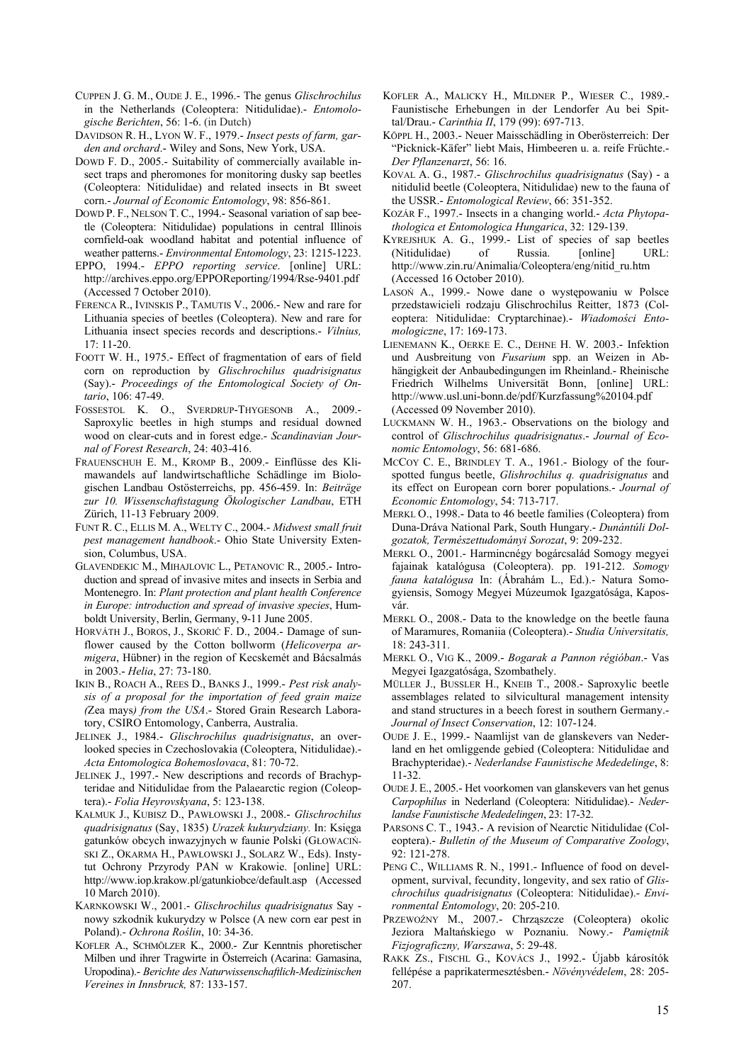- CUPPEN J. G. M., OUDE J. E., 1996.- The genus *Glischrochilus*  in the Netherlands (Coleoptera: Nitidulidae).- *Entomologische Berichten*, 56: 1-6. (in Dutch)
- DAVIDSON R. H., LYON W. F., 1979.- *Insect pests of farm, garden and orchard*.- Wiley and Sons, New York, USA.
- DOWD F. D., 2005.- Suitability of commercially available insect traps and pheromones for monitoring dusky sap beetles (Coleoptera: Nitidulidae) and related insects in Bt sweet corn.- *Journal of Economic Entomology*, 98: 856-861.
- DOWD P. F., NELSON T. C., 1994.- Seasonal variation of sap beetle (Coleoptera: Nitidulidae) populations in central Illinois cornfield-oak woodland habitat and potential influence of weather patterns.- *Environmental Entomology*, 23: 1215-1223.
- EPPO, 1994.- *EPPO reporting service*. [online] URL: http://archives.eppo.org/EPPOReporting/1994/Rse-9401.pdf (Accessed 7 October 2010).
- FERENCA R., IVINSKIS P., TAMUTIS V., 2006.- New and rare for Lithuania species of beetles (Coleoptera). New and rare for Lithuania insect species records and descriptions.- *Vilnius,* 17: 11-20.
- FOOTT W. H., 1975.- Effect of fragmentation of ears of field corn on reproduction by *Glischrochilus quadrisignatus* (Say).- *Proceedings of the Entomological Society of Ontario*, 106: 47-49.
- FOSSESTOL K. O., SVERDRUP-THYGESONB A., 2009.- Saproxylic beetles in high stumps and residual downed wood on clear-cuts and in forest edge.- *Scandinavian Journal of Forest Research*, 24: 403-416.
- FRAUENSCHUH E. M., KROMP B., 2009.- Einflüsse des Klimawandels auf landwirtschaftliche Schädlinge im Biologischen Landbau Ostösterreichs, pp. 456-459. In: *Beiträge zur 10. Wissenschaftstagung Ökologischer Landbau*, ETH Zürich, 11-13 February 2009.
- FUNT R. C., ELLIS M. A., WELTY C., 2004.- *Midwest small fruit pest management handbook*.- Ohio State University Extension, Columbus, USA.
- GLAVENDEKIC M., MIHAJLOVIC L., PETANOVIC R., 2005.- Introduction and spread of invasive mites and insects in Serbia and Montenegro. In: *Plant protection and plant health Conference in Europe: introduction and spread of invasive species*, Humboldt University, Berlin, Germany, 9-11 June 2005.
- HORVÁTH J., BOROS, J., SKORIĆ F. D., 2004.- Damage of sunflower caused by the Cotton bollworm (*Helicoverpa armigera*, Hübner) in the region of Kecskemét and Bácsalmás in 2003.- *Helia*, 27: 73-180.
- IKIN B., ROACH A., REES D., BANKS J., 1999.- *Pest risk analysis of a proposal for the importation of feed grain maize (*Zea mays*) from the USA*.- Stored Grain Research Laboratory, CSIRO Entomology, Canberra, Australia.
- JELINEK J., 1984.- *Glischrochilus quadrisignatus*, an overlooked species in Czechoslovakia (Coleoptera, Nitidulidae).- *Acta Entomologica Bohemoslovaca*, 81: 70-72.
- JELINEK J., 1997.- New descriptions and records of Brachypteridae and Nitidulidae from the Palaearctic region (Coleoptera).- *Folia Heyrovskyana*, 5: 123-138.
- KAŁMUK J., KUBISZ D., PAWŁOWSKI J., 2008.- *Glischrochilus quadrisignatus* (Say, 1835) *Urazek kukurydziany.* In: Księga gatunków obcych inwazyjnych w faunie Polski (GŁOWACIŃ-SKI Z., OKARMA H., PAWŁOWSKI J., SOLARZ W., Eds). Instytut Ochrony Przyrody PAN w Krakowie. [online] URL: http://www.iop.krakow.pl/gatunkiobce/default.asp (Accessed 10 March 2010).
- KARNKOWSKI W., 2001.- *Glischrochilus quadrisignatus* Say nowy szkodnik kukurydzy w Polsce (A new corn ear pest in Poland).- *Ochrona Roślin*, 10: 34-36.
- KOFLER A., SCHMÖLZER K., 2000.- Zur Kenntnis phoretischer Milben und ihrer Tragwirte in Österreich (Acarina: Gamasina, Uropodina).- *Berichte des Naturwissenschaftlich-Medizinischen Vereines in Innsbruck,* 87: 133-157.
- KOFLER A., MALICKY H., MILDNER P., WIESER C., 1989.- Faunistische Erhebungen in der Lendorfer Au bei Spittal/Drau.- *Carinthia II*, 179 (99): 697-713.
- KÖPPL H., 2003.- Neuer Maisschädling in Oberösterreich: Der "Picknick-Käfer" liebt Mais, Himbeeren u. a. reife Früchte.- *Der Pflanzenarzt*, 56: 16.
- KOVAL A. G., 1987.- *Glischrochilus quadrisignatus* (Say) a nitidulid beetle (Coleoptera, Nitidulidae) new to the fauna of the USSR.- *Entomological Review*, 66: 351-352.
- KOZÁR F., 1997.- Insects in a changing world.- *Acta Phytopathologica et Entomologica Hungarica*, 32: 129-139.
- KYREJSHUK A. G., 1999.- List of species of sap beetles (Nitidulidae) of Russia. [online] URL: http://www.zin.ru/Animalia/Coleoptera/eng/nitid\_ru.htm (Accessed 16 October 2010).
- LASOŃ A., 1999.- Nowe dane o występowaniu w Polsce przedstawicieli rodzaju Glischrochilus Reitter, 1873 (Coleoptera: Nitidulidae: Cryptarchinae).- *Wiadomości Entomologiczne*, 17: 169-173.
- LIENEMANN K., OERKE E. C., DEHNE H. W. 2003.- Infektion und Ausbreitung von *Fusarium* spp. an Weizen in Abhängigkeit der Anbaubedingungen im Rheinland.- Rheinische Friedrich Wilhelms Universität Bonn, [online] URL: http://www.usl.uni-bonn.de/pdf/Kurzfassung%20104.pdf (Accessed 09 November 2010).
- LUCKMANN W. H., 1963.- Observations on the biology and control of *Glischrochilus quadrisignatus*.- *Journal of Economic Entomology*, 56: 681-686.
- MCCOY C. E., BRINDLEY T. A., 1961.- Biology of the fourspotted fungus beetle, *Glishrochilus q. quadrisignatus* and its effect on European corn borer populations.- *Journal of Economic Entomology*, 54: 713-717.
- MERKL O., 1998.- Data to 46 beetle families (Coleoptera) from Duna-Dráva National Park, South Hungary.- *Dunántúli Dolgozatok, Természettudományi Sorozat*, 9: 209-232.
- MERKL O., 2001.- Harmincnégy bogárcsalád Somogy megyei fajainak katalógusa (Coleoptera). pp. 191*-*212. *Somogy fauna katalógusa* In: (Ábrahám L., Ed.).- Natura Somogyiensis, Somogy Megyei Múzeumok Igazgatósága, Kaposvár.
- MERKL O., 2008.- Data to the knowledge on the beetle fauna of Maramures, Romaniia (Coleoptera).- *Studia Universitatis,* 18: 243-311.
- MERKL O., VIG K., 2009.- *Bogarak a Pannon régióban*.- Vas Megyei Igazgatósága, Szombathely.
- MÜLLER J., BUSSLER H., KNEIB T., 2008.- Saproxylic beetle assemblages related to silvicultural management intensity and stand structures in a beech forest in southern Germany.- *Journal of Insect Conservation*, 12: 107-124.
- OUDE J. E., 1999.- Naamlijst van de glanskevers van Nederland en het omliggende gebied (Coleoptera: Nitidulidae and Brachypteridae).- *Nederlandse Faunistische Mededelinge*, 8: 11-32.
- OUDE J. E., 2005.- Het voorkomen van glanskevers van het genus *Carpophilus* in Nederland (Coleoptera: Nitidulidae).- *Nederlandse Faunistische Mededelingen*, 23: 17-32.
- PARSONS C. T., 1943.- A revision of Nearctic Nitidulidae (Coleoptera).- *Bulletin of the Museum of Comparative Zoology*, 92: 121-278.
- PENG C., WILLIAMS R. N., 1991.- Influence of food on development, survival, fecundity, longevity, and sex ratio of *Glischrochilus quadrisignatus* (Coleoptera: Nitidulidae).- *Environmental Entomology*, 20: 205-210.
- PRZEWOŹNY M., 2007.- Chrząszcze (Coleoptera) okolic Jeziora Maltańskiego w Poznaniu. Nowy.- *Pamiętnik Fizjograficzny, Warszawa*, 5: 29-48.
- RAKK ZS., FISCHL G., KOVÁCS J., 1992.- Újabb károsítók fellépése a paprikatermesztésben.- *Növényvédelem*, 28: 205- 207.